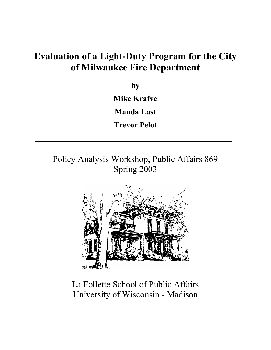# **Evaluation of a Light-Duty Program for the City of Milwaukee Fire Department**

**by**

**Mike Krafve**

**Manda Last**

**Trevor Pelot**

Policy Analysis Workshop, Public Affairs 869 Spring 2003



La Follette School of Public Affairs University of Wisconsin - Madison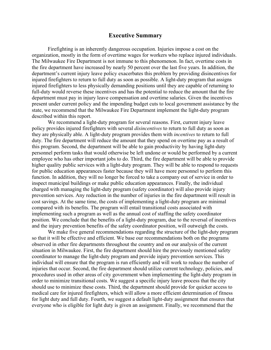#### **Executive Summary**

Firefighting is an inherently dangerous occupation. Injuries impose a cost on the organization, mostly in the form of overtime wages for workers who replace injured individuals. The Milwaukee Fire Department is not immune to this phenomenon. In fact, overtime costs in the fire department have increased by nearly 50 percent over the last five years. In addition, the department's current injury leave policy exacerbates this problem by providing disincentives for injured firefighters to return to full duty as soon as possible. A light-duty program that assigns injured firefighters to less physically demanding positions until they are capable of returning to full-duty would reverse these incentives and has the potential to reduce the amount that the fire department must pay in injury leave compensation and overtime salaries. Given the incentives present under current policy and the impending budget cuts to local government assistance by the state, we recommend that the Milwaukee Fire Department implement the light-duty program described within this report.

We recommend a light-duty program for several reasons. First, current injury leave policy provides injured firefighters with several *disincentives* to return to full duty as soon as they are physically able. A light-duty program provides them with *incentives* to return to full duty. The fire department will reduce the amount that they spend on overtime pay as a result of this program. Second, the department will be able to gain productivity by having light-duty personnel perform tasks that would otherwise be left undone or would be performed by a current employee who has other important jobs to do. Third, the fire department will be able to provide higher quality public services with a light-duty program. They will be able to respond to requests for public education appearances faster because they will have more personnel to perform this function. In addition, they will no longer be forced to take a company out of service in order to inspect municipal buildings or make public education appearances. Finally, the individual charged with managing the light-duty program (safety coordinator) will also provide injury prevention services. Any reduction in the number of injuries in the fire department will result in cost savings. At the same time, the costs of implementing a light-duty program are minimal compared with its benefits. The program will entail transitional costs associated with implementing such a program as well as the annual cost of staffing the safety coordinator position. We conclude that the benefits of a light-duty program, due to the reversal of incentives and the injury prevention benefits of the safety coordinator position, will outweigh the costs.

We make five general recommendations regarding the structure of the light-duty program so that it will be effective and efficient. We base our recommendations both on the programs observed in other fire departments throughout the country and on our analysis of the current situation in Milwaukee. First, the fire department should hire the previously mentioned safety coordinator to manage the light-duty program and provide injury prevention services. This individual will ensure that the program is run efficiently and will work to reduce the number of injuries that occur. Second, the fire department should utilize current technology, policies, and procedures used in other areas of city government when implementing the light-duty program in order to minimize transitional costs. We suggest a specific injury leave process that the city should use to minimize these costs. Third, the department should provide for quicker access to medical care for injured firefighters, which will allow a more efficient determination of fitness for light duty and full duty. Fourth, we suggest a default light-duty assignment that ensures that everyone who is eligible for light duty is given an assignment. Finally, we recommend that the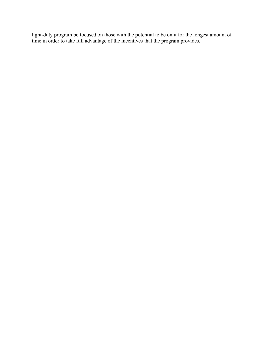light-duty program be focused on those with the potential to be on it for the longest amount of time in order to take full advantage of the incentives that the program provides.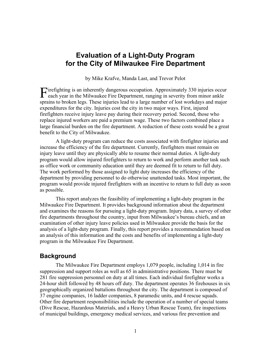## **Evaluation of a Light-Duty Program for the City of Milwaukee Fire Department**

by Mike Krafve, Manda Last, and Trevor Pelot

irefighting is an inherently dangerous occupation. Approximately 330 injuries occur Firefighting is an inherently dangerous occupation. Approximately 330 injuries occupation where  $F$ ire Department, ranging in severity from minor ankle sprains to broken legs. These injuries lead to a large number of lost workdays and major expenditures for the city. Injuries cost the city in two major ways. First, injured firefighters receive injury leave pay during their recovery period. Second, those who replace injured workers are paid a premium wage. These two factors combined place a large financial burden on the fire department. A reduction of these costs would be a great benefit to the City of Milwaukee.

A light-duty program can reduce the costs associated with firefighter injuries and increase the efficiency of the fire department. Currently, firefighters must remain on injury leave until they are physically able to resume their normal duties. A light-duty program would allow injured firefighters to return to work and perform another task such as office work or community education until they are deemed fit to return to full duty. The work performed by those assigned to light duty increases the efficiency of the department by providing personnel to do otherwise unattended tasks. Most important, the program would provide injured firefighters with an incentive to return to full duty as soon as possible.

This report analyzes the feasibility of implementing a light-duty program in the Milwaukee Fire Department. It provides background information about the department and examines the reasons for pursuing a light-duty program. Injury data, a survey of other fire departments throughout the country, input from Milwaukee's bureau chiefs, and an examination of other injury leave policies used in Milwaukee provide the basis for the analysis of a light-duty program. Finally, this report provides a recommendation based on an analysis of this information and the costs and benefits of implementing a light-duty program in the Milwaukee Fire Department.

## **Background**

The Milwaukee Fire Department employs 1,079 people, including 1,014 in fire suppression and support roles as well as 65 in administrative positions. There must be 281 fire suppression personnel on duty at all times. Each individual firefighter works a 24-hour shift followed by 48 hours off duty. The department operates 36 firehouses in six geographically organized battalions throughout the city. The department is composed of 37 engine companies, 16 ladder companies, 8 paramedic units, and 4 rescue squads. Other fire department responsibilities include the operation of a number of special teams (Dive Rescue, Hazardous Materials, and a Heavy Urban Rescue Team), fire inspections of municipal buildings, emergency medical services, and various fire prevention and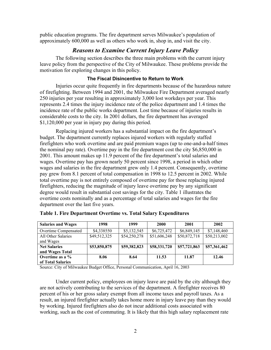public education programs. The fire department serves Milwaukee's population of approximately 600,000 as well as others who work in, shop in, and visit the city.

## *Reasons to Examine Current Injury Leave Policy*

The following section describes the three main problems with the current injury leave policy from the perspective of the City of Milwaukee. These problems provide the motivation for exploring changes in this policy.

#### **The Fiscal Disincentive to Return to Work**

Injuries occur quite frequently in fire departments because of the hazardous nature of firefighting. Between 1994 and 2001, the Milwaukee Fire Department averaged nearly 250 injuries per year resulting in approximately 3,000 lost workdays per year. This represents 2.4 times the injury incidence rate of the police department and 1.4 times the incidence rate of the public works department. Lost time because of injuries results in considerable costs to the city. In 2001 dollars, the fire department has averaged \$1,120,000 per year in injury pay during this period.

Replacing injured workers has a substantial impact on the fire department's budget. The department currently replaces injured workers with regularly staffed firefighters who work overtime and are paid premium wages (up to one-and-a-half times the nominal pay rate). Overtime pay in the fire department cost the city \$6,850,000 in 2001. This amount makes up 11.9 percent of the fire department's total salaries and wages. Overtime pay has grown nearly 50 percent since 1998, a period in which other wages and salaries in the fire department grew only 1.4 percent. Consequently, overtime pay grew from 8.1 percent of total compensation in 1998 to 12.5 percent in 2002. While total overtime pay is not entirely composed of overtime pay for those replacing injured firefighters, reducing the magnitude of injury leave overtime pay by any significant degree would result in substantial cost savings for the city. Table 1 illustrates the overtime costs nominally and as a percentage of total salaries and wages for the fire department over the last five years.

| <b>Salaries and Wages</b> | 1998         | 1999         | 2000         | 2001         | 2002         |
|---------------------------|--------------|--------------|--------------|--------------|--------------|
| Overtime Compensated      | \$4,338550   | \$5,132,545  | \$6,725,472  | \$6,849,145  | \$7,148,460  |
| All Other Salaries        | \$49,512,325 | \$54,250,278 | \$51,606,248 | \$50,872,718 | \$50,213,002 |
| and Wages                 |              |              |              |              |              |
| <b>Net Salaries</b>       | \$53,850,875 | \$59,382,823 | \$58,331,720 | \$57,721,863 | \$57,361,462 |
| and Wages Total           |              |              |              |              |              |
| Overtime as a %           | 8.06         | 8.64         | 11.53        | 11.87        | 12.46        |
| of Total Salaries         |              |              |              |              |              |

| Table 1. Fire Department Overtime vs. Total Salary Expenditures |  |  |  |
|-----------------------------------------------------------------|--|--|--|
|-----------------------------------------------------------------|--|--|--|

Source: City of Milwaukee Budget Office, Personal Communication, April 16, 2003

Under current policy, employees on injury leave are paid by the city although they are not actively contributing to the services of the department. A firefighter receives 80 percent of his or her gross salary exempt from all income taxes and payroll taxes. As a result, an injured firefighter actually takes home more in injury leave pay than they would by working. Injured firefighters also do not incur additional costs associated with working, such as the cost of commuting. It is likely that this high salary replacement rate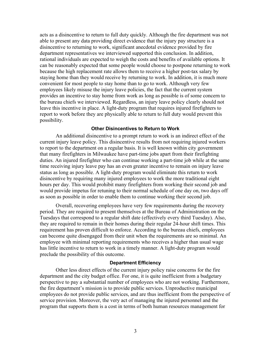acts as a disincentive to return to full duty quickly. Although the fire department was not able to present any data providing direct evidence that the injury pay structure is a disincentive to returning to work, significant anecdotal evidence provided by fire department representatives we interviewed supported this conclusion. In addition, rational individuals are expected to weigh the costs and benefits of available options. It can be reasonably expected that some people would choose to postpone returning to work because the high replacement rate allows them to receive a higher post-tax salary by staying home than they would receive by returning to work. In addition, it is much more convenient for most people to stay home than to go to work. Although very few employees likely misuse the injury leave policies, the fact that the current system provides an incentive to stay home from work as long as possible is of some concern to the bureau chiefs we interviewed. Regardless, an injury leave policy clearly should not leave this incentive in place. A light-duty program that requires injured firefighters to report to work before they are physically able to return to full duty would prevent this possibility.

#### **Other Disincentives to Return to Work**

An additional disincentive to a prompt return to work is an indirect effect of the current injury leave policy. This disincentive results from not requiring injured workers to report to the department on a regular basis. It is well known within city government that many firefighters in Milwaukee have part-time jobs apart from their firefighting duties. An injured firefighter who can continue working a part-time job while at the same time receiving injury leave pay has an even greater incentive to remain on injury leave status as long as possible. A light-duty program would eliminate this return to work disincentive by requiring many injured employees to work the more traditional eight hours per day. This would prohibit many firefighters from working their second job and would provide impetus for retuning to their normal schedule of one day on, two days off as soon as possible in order to enable them to continue working their second job.

Overall, recovering employees have very few requirements during the recovery period. They are required to present themselves at the Bureau of Administration on the Tuesdays that correspond to a regular shift date (effectively every third Tuesday). Also, they are required to remain in their homes during their regular 24-hour shift times. This requirement has proven difficult to enforce. According to the bureau chiefs, employees can become quite disengaged from their unit when the requirements are so minimal. An employee with minimal reporting requirements who receives a higher than usual wage has little incentive to return to work in a timely manner. A light-duty program would preclude the possibility of this outcome.

#### **Department Efficiency**

Other less direct effects of the current injury policy raise concerns for the fire department and the city budget office. For one, it is quite inefficient from a budgetary perspective to pay a substantial number of employees who are not working. Furthermore, the fire department's mission is to provide public services. Unproductive municipal employees do not provide public services, and are thus inefficient from the perspective of service provision. Moreover, the very act of managing the injured personnel and the program that supports them is a cost in terms of both human resources management for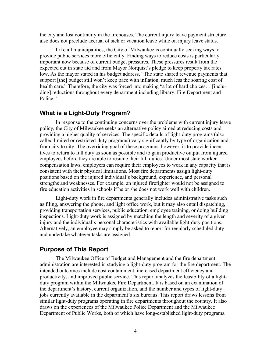the city and lost continuity in the firehouses. The current injury leave payment structure also does not preclude accrual of sick or vacation leave while on injury leave status.

Like all municipalities, the City of Milwaukee is continually seeking ways to provide public services more efficiently. Finding ways to reduce costs is particularly important now because of current budget pressures. These pressures result from the expected cut in state aid and from Mayor Norquist's pledge to keep property tax rates low. As the mayor stated in his budget address, "The state shared revenue payments that support [the] budget still won't keep pace with inflation, much less the soaring cost of health care." Therefore, the city was forced into making "a lot of hard choices… [including] reductions throughout every department including library, Fire Department and Police."

## **What is a Light-Duty Program?**

In response to the continuing concerns over the problems with current injury leave policy, the City of Milwaukee seeks an alternative policy aimed at reducing costs and providing a higher quality of services. The specific details of light-duty programs (also called limited or restricted-duty programs) vary significantly by type of organization and from city to city. The overriding goal of these programs, however, is to provide incentives to return to full duty as soon as possible and to gain productive output from injured employees before they are able to resume their full duties. Under most state worker compensation laws, employers can require their employees to work in any capacity that is consistent with their physical limitations. Most fire departments assign light-duty positions based on the injured individual's background, experience, and personal strengths and weaknesses. For example, an injured firefighter would not be assigned to fire education activities in schools if he or she does not work well with children.

Light-duty work in fire departments generally includes administrative tasks such as filing, answering the phone, and light office work, but it may also entail dispatching, providing transportation services, public education, employee training, or doing building inspections. Light-duty work is assigned by matching the length and severity of a given injury and the individual's personal characteristics with available light-duty positions. Alternatively, an employee may simply be asked to report for regularly scheduled duty and undertake whatever tasks are assigned.

## **Purpose of This Report**

The Milwaukee Office of Budget and Management and the fire department administration are interested in studying a light-duty program for the fire department. The intended outcomes include cost containment, increased department efficiency and productivity, and improved public service. This report analyzes the feasibility of a lightduty program within the Milwaukee Fire Department. It is based on an examination of the department's history, current organization, and the number and types of light-duty jobs currently available in the department's six bureaus. This report draws lessons from similar light-duty programs operating in fire departments throughout the country. It also draws on the experiences of the Milwaukee Police Department and the Milwaukee Department of Public Works, both of which have long-established light-duty programs.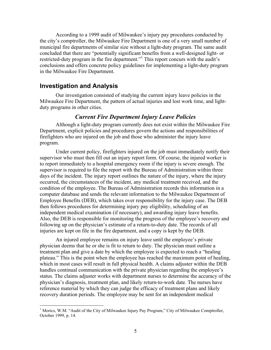According to a 1999 audit of Milwaukee's injury pay procedures conducted by the city's comptroller, the Milwaukee Fire Department is one of a very small number of municipal fire departments of similar size without a light-duty program. The same audit concluded that there are "potentially significant benefits from a well-designed light- or restricted-duty program in the fire department."<sup>1</sup> This report concurs with the audit's conclusions and offers concrete policy guidelines for implementing a light-duty program in the Milwaukee Fire Department.

#### **Investigation and Analysis**

<u>.</u>

Our investigation consisted of studying the current injury leave policies in the Milwaukee Fire Department, the pattern of actual injuries and lost work time, and lightduty programs in other cities.

#### *Current Fire Department Injury Leave Policies*

Although a light-duty program currently does not exist within the Milwaukee Fire Department, explicit policies and procedures govern the actions and responsibilities of firefighters who are injured on the job and those who administer the injury leave program.

Under current policy, firefighters injured on the job must immediately notify their supervisor who must then fill out an injury report form. Of course, the injured worker is to report immediately to a hospital emergency room if the injury is severe enough. The supervisor is required to file the report with the Bureau of Administration within three days of the incident. The injury report outlines the nature of the injury, where the injury occurred, the circumstances of the incident, any medical treatment received, and the condition of the employee. The Bureau of Administration records this information in a computer database and sends the relevant information to the Milwaukee Department of Employee Benefits (DEB), which takes over responsibility for the injury case. The DEB then follows procedures for determining injury pay eligibility, scheduling of an independent medical examination (if necessary), and awarding injury leave benefits. Also, the DEB is responsible for monitoring the progress of the employee's recovery and following up on the physician's estimate of a return-to-duty date. The records of all injuries are kept on file in the fire department, and a copy is kept by the DEB.

An injured employee remains on injury leave until the employee's private physician deems that he or she is fit to return to duty. The physician must outline a treatment plan and give a date by which the employee is expected to reach a "healing plateau." This is the point when the employee has reached the maximum point of healing, which in most cases will result in full physical health. A claims adjuster within the DEB handles continual communication with the private physician regarding the employee's status. The claims adjuster works with department nurses to determine the accuracy of the physician's diagnosis, treatment plan, and likely return-to-work date. The nurses have reference material by which they can judge the efficacy of treatment plans and likely recovery duration periods. The employee may be sent for an independent medical

<sup>&</sup>lt;sup>1</sup> Morics, W.M. "Audit of the City of Milwaukee Injury Pay Program," City of Milwaukee Comptroller, October 1999, p. 14.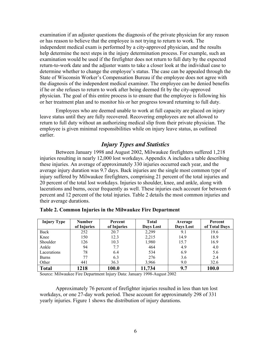examination if an adjuster questions the diagnosis of the private physician for any reason or has reason to believe that the employee is not trying to return to work. The independent medical exam is performed by a city-approved physician, and the results help determine the next steps in the injury determination process. For example, such an examination would be used if the firefighter does not return to full duty by the expected return-to-work date and the adjuster wants to take a closer look at the individual case to determine whether to change the employee's status. The case can be appealed through the State of Wisconsin Worker's Compensation Bureau if the employee does not agree with the diagnosis of the independent medical examiner. The employee can be denied benefits if he or she refuses to return to work after being deemed fit by the city-approved physician. The goal of this entire process is to ensure that the employee is following his or her treatment plan and to monitor his or her progress toward returning to full duty.

Employees who are deemed unable to work at full capacity are placed on injury leave status until they are fully recovered. Recovering employees are not allowed to return to full duty without an authorizing medical slip from their private physician. The employee is given minimal responsibilities while on injury leave status, as outlined earlier.

## *Injury Types and Statistics*

Between January 1998 and August 2002, Milwaukee firefighters suffered 1,218 injuries resulting in nearly 12,000 lost workdays. Appendix A includes a table describing these injuries. An average of approximately 330 injuries occurred each year, and the average injury duration was 9.7 days. Back injuries are the single most common type of injury suffered by Milwaukee firefighters, comprising 21 percent of the total injuries and 20 percent of the total lost workdays. Injuries to shoulder, knee, and ankle, along with lacerations and burns, occur frequently as well. These injuries each account for between 6 percent and 12 percent of the total injuries. Table 2 details the most common injuries and their average durations.

| <b>Injury Type</b> | <b>Number</b> | Percent     | <b>Total</b> | Average   | Percent       |
|--------------------|---------------|-------------|--------------|-----------|---------------|
|                    | of Injuries   | of Injuries | Days Lost    | Days Lost | of Total Days |
| Back               | 252           | 20.7        | 2,299        | 9.1       | 19.6          |
| Knee               | 150           | 12.3        | 2,215        | 14.9      | 18.9          |
| Shoulder           | 126           | 10.3        | 1,980        | 15.7      | 16.9          |
| Ankle              | 94            | 7.7         | 464          | 4.9       | 4.0           |
| Lacerations        | 78            | 6.4         | 534          | 6.9       | 5.6           |
| <b>Burns</b>       | 77            | 6.3         | 276          | 3.6       | 2.4           |
| Other              | 441           | 36.3        | 3,966        | 9.0       | 32.6          |
| <b>Total</b>       | 1218          | 100.0       | 11,734       | 9.7       | 100.0         |

#### **Table 2. Common Injuries in the Milwaukee Fire Department**

Source: Milwaukee Fire Department Injury Data: January 1998-August 2002

Approximately 76 percent of firefighter injuries resulted in less than ten lost workdays, or one 27-day work period. These account for approximately 298 of 331 yearly injuries. Figure 1 shows the distribution of injury durations.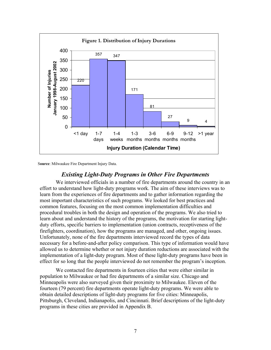

S**ource**: Milwaukee Fire Department Injury Data.

## *Existing Light-Duty Programs in Other Fire Departments*

We interviewed officials in a number of fire departments around the country in an effort to understand how light-duty programs work. The aim of these interviews was to learn from the experiences of fire departments and to gather information regarding the most important characteristics of such programs. We looked for best practices and common features, focusing on the most common implementation difficulties and procedural troubles in both the design and operation of the programs. We also tried to learn about and understand the history of the programs, the motivation for starting lightduty efforts, specific barriers to implementation (union contracts, receptiveness of the firefighters, coordination), how the programs are managed, and other, ongoing issues. Unfortunately, none of the fire departments interviewed record the types of data necessary for a before-and-after policy comparison. This type of information would have allowed us to determine whether or not injury duration reductions are associated with the implementation of a light-duty program. Most of these light-duty programs have been in effect for so long that the people interviewed do not remember the program's inception.

We contacted fire departments in fourteen cities that were either similar in population to Milwaukee or had fire departments of a similar size. Chicago and Minneapolis were also surveyed given their proximity to Milwaukee. Eleven of the fourteen (79 percent) fire departments operate light-duty programs. We were able to obtain detailed descriptions of light-duty programs for five cities: Minneapolis, Pittsburgh, Cleveland, Indianapolis, and Cincinnati. Brief descriptions of the light-duty programs in these cities are provided in Appendix B.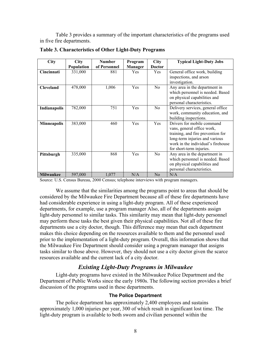Table 3 provides a summary of the important characteristics of the programs used in five fire departments.

| <b>City</b>        | <b>City</b> | <b>Number</b> | Program    | <b>City</b>    | <b>Typical Light-Duty Jobs</b>                                                                                                                                                                    |
|--------------------|-------------|---------------|------------|----------------|---------------------------------------------------------------------------------------------------------------------------------------------------------------------------------------------------|
|                    | Population  | of Personnel  | Manager    | <b>Doctor</b>  |                                                                                                                                                                                                   |
| Cincinnati         | 331,000     | 881           | <b>Yes</b> | <b>Yes</b>     | General office work, building<br>inspections, and arson<br>investigation.                                                                                                                         |
| <b>Cleveland</b>   | 478,000     | 1,006         | Yes        | N <sub>0</sub> | Any area in the department in<br>which personnel is needed. Based<br>on physical capabilities and<br>personal characteristics.                                                                    |
| Indianapolis       | 782,000     | 751           | Yes        | No             | Delivery services, general office.<br>work, community education, and<br>building inspections.                                                                                                     |
| <b>Minneapolis</b> | 383,000     | 460           | Yes        | Yes            | Drivers for mobile command<br>vans, general office work,<br>training, and fire prevention for<br>long-term injuries and various<br>work in the individual's firehouse<br>for short-term injuries. |
| Pittsburgh         | 335,000     | 868           | Yes        | N <sub>o</sub> | Any area in the department in<br>which personnel is needed. Based<br>on physical capabilities and<br>personal characteristics.                                                                    |
| <b>Milwaukee</b>   | 597,000     | 1,077         | N/A        | N <sub>0</sub> | N/A                                                                                                                                                                                               |

**Table 3. Characteristics of Other Light-Duty Programs**

Source: U.S. Census Bureau, 2000 Census; telephone interviews with program managers.

We assume that the similarities among the programs point to areas that should be considered by the Milwaukee Fire Department because all of these fire departments have had considerable experience in using a light-duty program. All of these experienced departments, for example, use a program manager Also, all of the departments assign light-duty personnel to similar tasks. This similarity may mean that light-duty personnel may perform these tasks the best given their physical capabilities. Not all of these fire departments use a city doctor, though. This difference may mean that each department makes this choice depending on the resources available to them and the personnel used prior to the implementation of a light-duty program. Overall, this information shows that the Milwaukee Fire Department should consider using a program manager that assigns tasks similar to those above. However, they should not use a city doctor given the scarce resources available and the current lack of a city doctor.

## *Existing Light-Duty Programs in Milwaukee*

Light-duty programs have existed in the Milwaukee Police Department and the Department of Public Works since the early 1980s. The following section provides a brief discussion of the programs used in these departments.

#### **The Police Department**

The police department has approximately 2,400 employees and sustains approximately 1,000 injuries per year, 300 of which result in significant lost time. The light-duty program is available to both sworn and civilian personnel within the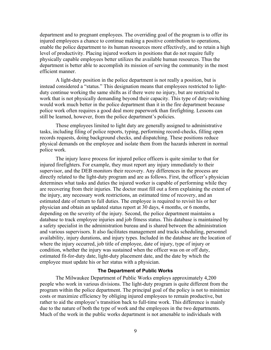department and to pregnant employees. The overriding goal of the program is to offer its injured employees a chance to continue making a positive contribution to operations, enable the police department to its human resources more effectively, and to retain a high level of productivity. Placing injured workers in positions that do not require fully physically capable employees better utilizes the available human resources. Thus the department is better able to accomplish its mission of serving the community in the most efficient manner.

A light-duty position in the police department is not really a position, but is instead considered a "status." This designation means that employees restricted to lightduty continue working the same shifts as if there were no injury, but are restricted to work that is not physically demanding beyond their capacity. This type of duty-switching would work much better in the police department than it in the fire department because police work often requires a good deal more paperwork than firefighting. Lessons can still be learned, however, from the police department's policies.

Those employees limited to light duty are generally assigned to administrative tasks, including filing of police reports, typing, performing record-checks, filling open records requests, doing background checks, and dispatching. These positions reduce physical demands on the employee and isolate them from the hazards inherent in normal police work.

The injury leave process for injured police officers is quite similar to that for injured firefighters. For example, they must report any injury immediately to their supervisor, and the DEB monitors their recovery. Any differences in the process are directly related to the light-duty program and are as follows. First, the officer's physician determines what tasks and duties the injured worker is capable of performing while they are recovering from their injuries. The doctor must fill out a form explaining the extent of the injury, any necessary work restrictions, an estimated time of recovery, and an estimated date of return to full duties. The employee is required to revisit his or her physician and obtain an updated status report at 30 days, 4 months, or 6 months, depending on the severity of the injury. Second, the police department maintains a database to track employee injuries and job fitness status. This database is maintained by a safety specialist in the administration bureau and is shared between the administration and various supervisors. It also facilitates management and tracks scheduling, personnel availability, injury durations, and injury types. Included in the database are the location of where the injury occurred, job title of employee, date of injury, type of injury or condition, whether the injury was sustained when the officer was on or off duty, estimated fit-for-duty date, light-duty placement date, and the date by which the employee must update his or her status with a physician.

#### **The Department of Public Works**

The Milwaukee Department of Public Works employs approximately 4,200 people who work in various divisions. The light-duty program is quite different from the program within the police department. The principal goal of the policy is not to minimize costs or maximize efficiency by obliging injured employees to remain productive, but rather to aid the employee's transition back to full-time work. This difference is mainly due to the nature of both the type of work and the employees in the two departments. Much of the work in the public works department is not amenable to individuals with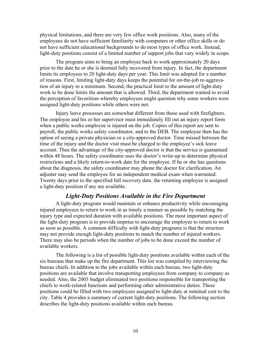physical limitations, and there are very few office work positions. Also, many of the employees do not have sufficient familiarity with computers or other office skills or do not have sufficient educational backgrounds to do most types of office work. Instead, light-duty positions consist of a limited number of support jobs that vary widely in scope.

The program aims to bring an employee back to work approximately 20 days prior to the date he or she is deemed fully recovered from injury. In fact, the department limits its employees to 20 light-duty days per year. This limit was adopted for a number of reasons. First, limiting light-duty days keeps the potential for on-the-job re-aggravation of an injury to a minimum. Second, the practical limit to the amount of light-duty work to be done limits the amount that is allowed. Third, the department wanted to avoid the perception of favoritism whereby employees might question why some workers were assigned light-duty positions while others were not.

Injury leave processes are somewhat different from those used with firefighters. The employee and his or her supervisor must immediately fill out an injury report form when a public works employee is injured on the job. Copies of this report are sent to payroll, the public works safety coordinator, and to the DEB. The employee then has the option of seeing a private physician or a city-approved doctor. Time missed between the time of the injury and the doctor visit must be charged to the employee's sick leave account. Thus the advantage of the city-approved doctor is that the service is guaranteed within 48 hours. The safety coordinator uses the doctor's write-up to determine physical restrictions and a likely return-to-work date for the employee. If he or she has questions about the diagnosis, the safety coordinator may phone the doctor for clarification. An adjuster may send the employee for an independent medical exam when warranted. Twenty days prior to the specified full recovery date, the returning employee is assigned a light-duty position if any are available.

#### *Light-Duty Positions Available in the Fire Department*

A light-duty program would maintain or enhance productivity while encouraging injured employees to return to work in as timely a manner as possible by matching the injury type and expected duration with available positions. The most important aspect of the light-duty program is to provide impetus to encourage the employee to return to work as soon as possible. A common difficulty with light-duty programs is that the structure may not provide enough light-duty positions to match the number of injured workers. There may also be periods when the number of jobs to be done exceed the number of available workers.

The following is a list of possible light-duty positions available within each of the six bureaus that make up the fire department. This list was compiled by interviewing the bureau chiefs. In addition to the jobs available within each bureau, two light-duty positions are available that involve transporting employees from company to company as needed. Also, the 2003 budget eliminated two positions responsible for transporting the chiefs to work-related functions and performing other administrative duties. These positions could be filled with two employees assigned to light-duty at minimal cost to the city. Table 4 provides a summary of current light-duty positions. The following section describes the light-duty positions available within each bureau.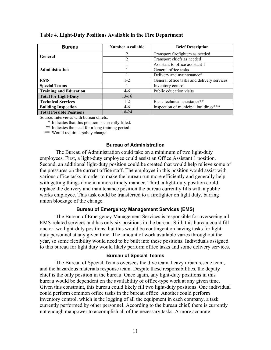| <b>Bureau</b>                   | <b>Number Available</b> | <b>Brief Description</b>                   |
|---------------------------------|-------------------------|--------------------------------------------|
| General                         | $\mathfrak{D}$          | Transport firefighters as needed           |
|                                 | $\mathfrak{D}$          | Transport chiefs as needed                 |
|                                 |                         | Assistant to office assistant 1            |
| <b>Administration</b>           |                         | General office tasks                       |
|                                 |                         | Delivery and maintenance*                  |
| <b>EMS</b>                      | $1 - 2$                 | General office tasks and delivery services |
| <b>Special Teams</b>            | L                       | Inventory control                          |
| <b>Training and Education</b>   | $4-6$                   | Public education visits                    |
| <b>Total for Light-Duty</b>     | $13 - 16$               |                                            |
| <b>Technical Services</b>       | $1 - 2$                 | Basic technical assistance**               |
| <b>Building Inspection</b>      | $4-6$                   | Inspection of municipal buildings***       |
| <b>Total Possible Positions</b> | 18-24                   |                                            |

#### **Table 4. Light-Duty Positions Available in the Fire Department**

Source: Interviews with bureau chiefs.

\* Indicates that this position is currently filled.

\*\* Indicates the need for a long training period.

\*\*\* Would require a policy change.

#### **Bureau of Administration**

The Bureau of Administration could take on a minimum of two light-duty employees. First, a light-duty employee could assist an Office Assistant 1 position. Second, an additional light-duty position could be created that would help relieve some of the pressures on the current office staff. The employee in this position would assist with various office tasks in order to make the bureau run more efficiently and generally help with getting things done in a more timely manner. Third, a light-duty position could replace the delivery and maintenance position the bureau currently fills with a public works employee. This task could be transferred to a firefighter on light duty, barring union blockage of the change.

#### **Bureau of Emergency Management Services (EMS)**

The Bureau of Emergency Management Services is responsible for overseeing all EMS-related services and has only six positions in the bureau. Still, this bureau could fill one or two light-duty positions, but this would be contingent on having tasks for lightduty personnel at any given time. The amount of work available varies throughout the year, so some flexibility would need to be built into these positions. Individuals assigned to this bureau for light duty would likely perform office tasks and some delivery services.

#### **Bureau of Special Teams**

The Bureau of Special Teams oversees the dive team, heavy urban rescue team, and the hazardous materials response team. Despite these responsibilities, the deputy chief is the only position in the bureau. Once again, any light-duty positions in this bureau would be dependent on the availability of office-type work at any given time. Given this constraint, this bureau could likely fill two light-duty positions. One individual could perform common office tasks in the bureau office. Another could perform inventory control, which is the logging of all the equipment in each company, a task currently performed by other personnel. According to the bureau chief, there is currently not enough manpower to accomplish all of the necessary tasks. A more accurate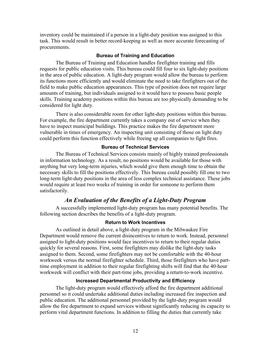inventory could be maintained if a person in a light-duty position was assigned to this task. This would result in better record-keeping as well as more accurate forecasting of procurements.

#### **Bureau of Training and Education**

The Bureau of Training and Education handles firefighter training and fills requests for public education visits. This bureau could fill four to six light-duty positions in the area of public education. A light-duty program would allow the bureau to perform its functions more efficiently and would eliminate the need to take firefighters out of the field to make public education appearances. This type of position does not require large amounts of training, but individuals assigned to it would have to possess basic people skills. Training academy positions within this bureau are too physically demanding to be considered for light duty.

There is also considerable room for other light-duty positions within this bureau. For example, the fire department currently takes a company out of service when they have to inspect municipal buildings. This practice makes the fire department more vulnerable in times of emergency. An inspecting unit consisting of those on light duty could perform this function effectively while freeing up all companies to fight fires.

#### **Bureau of Technical Services**

The Bureau of Technical Services consists mainly of highly trained professionals in information technology. As a result, no positions would be available for those with anything but very long-term injuries, which would give them enough time to obtain the necessary skills to fill the positions effectively. This bureau could possibly fill one to two long-term light-duty positions in the area of less complex technical assistance. These jobs would require at least two weeks of training in order for someone to perform them satisfactorily.

## *An Evaluation of the Benefits of a Light-Duty Program*

A successfully implemented light-duty program has many potential benefits. The following section describes the benefits of a light-duty program.

#### **Return to Work Incentives**

As outlined in detail above, a light-duty program in the Milwaukee Fire Department would remove the current disincentives to return to work. Instead, personnel assigned to light-duty positions would face incentives to return to their regular duties quickly for several reasons. First, some firefighters may dislike the light-duty tasks assigned to them. Second, some firefighters may not be comfortable with the 40-hour workweek versus the normal firefighter schedule. Third, those firefighters who have parttime employment in addition to their regular firefighting shifts will find that the 40-hour workweek will conflict with their part-time jobs, providing a return-to-work incentive.

## **Increased Departmental Productivity and Efficiency**

The light-duty program would effectively afford the fire department additional personnel so it could undertake additional duties including increased fire inspection and public education. The additional personnel provided by the light-duty program would allow the fire department to expand services without significantly reducing its capacity to perform vital department functions. In addition to filling the duties that currently take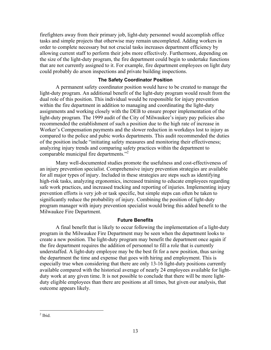firefighters away from their primary job, light-duty personnel would accomplish office tasks and simple projects that otherwise may remain uncompleted. Adding workers in order to complete necessary but not crucial tasks increases department efficiency by allowing current staff to perform their jobs more effectively. Furthermore, depending on the size of the light-duty program, the fire department could begin to undertake functions that are not currently assigned to it. For example, fire department employees on light duty could probably do arson inspections and private building inspections.

#### **The Safety Coordinator Position**

A permanent safety coordinator position would have to be created to manage the light-duty program. An additional benefit of the light-duty program would result from the dual role of this position. This individual would be responsible for injury prevention within the fire department in addition to managing and coordinating the light-duty assignments and working closely with the DEB to ensure proper implementation of the light-duty program. The 1999 audit of the City of Milwaukee's injury pay policies also recommended the establishment of such a position due to the high rate of increase in Worker's Compensation payments and the slower reduction in workdays lost to injury as compared to the police and pubic works departments. This audit recommended the duties of the position include "initiating safety measures and monitoring their effectiveness; analyzing injury trends and comparing safety practices within the department to comparable municipal fire departments."<sup>2</sup>

Many well-documented studies promote the usefulness and cost-effectiveness of an injury prevention specialist. Comprehensive injury prevention strategies are available for all major types of injury. Included in these strategies are steps such as identifying high-risk tasks, analyzing ergonomics, increased training to educate employees regarding safe work practices, and increased tracking and reporting of injuries. Implementing injury prevention efforts is very job or task specific, but simple steps can often be taken to significantly reduce the probability of injury. Combining the position of light-duty program manager with injury prevention specialist would bring this added benefit to the Milwaukee Fire Department.

#### **Future Benefits**

A final benefit that is likely to occur following the implementation of a light-duty program in the Milwaukee Fire Department may be seen when the department looks to create a new position. The light-duty program may benefit the department once again if the fire department requires the addition of personnel to fill a role that is currently understaffed. A light-duty employee may be the best fit for a new position, thus saving the department the time and expense that goes with hiring and employment. This is especially true when considering that there are only 13-16 light-duty positions currently available compared with the historical average of nearly 24 employees available for lightduty work at any given time. It is not possible to conclude that there will be more lightduty eligible employees than there are positions at all times, but given our analysis, that outcome appears likely.

 $\frac{1}{2}$  Ibid.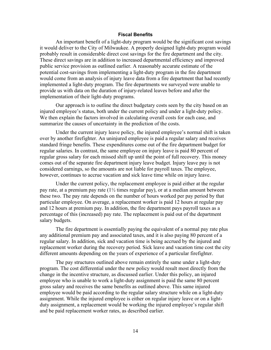#### **Fiscal Benefits**

An important benefit of a light-duty program would be the significant cost savings it would deliver to the City of Milwaukee. A properly designed light-duty program would probably result in considerable direct cost savings for the fire department and the city. These direct savings are in addition to increased departmental efficiency and improved public service provision as outlined earlier. A reasonably accurate estimate of the potential cost-savings from implementing a light-duty program in the fire department would come from an analysis of injury leave data from a fire department that had recently implemented a light-duty program. The fire departments we surveyed were unable to provide us with data on the duration of injury-related leaves before and after the implementation of their light-duty programs.

Our approach is to outline the direct budgetary costs seen by the city based on an injured employee's status, both under the current policy and under a light-duty policy. We then explain the factors involved in calculating overall costs for each case, and summarize the causes of uncertainty in the prediction of the costs.

Under the current injury leave policy, the injured employee's normal shift is taken over by another firefighter. An uninjured employee is paid a regular salary and receives standard fringe benefits. These expenditures come out of the fire department budget for regular salaries. In contrast, the same employee on injury leave is paid 80 percent of regular gross salary for each missed shift up until the point of full recovery. This money comes out of the separate fire department injury leave budget. Injury leave pay is not considered earnings, so the amounts are not liable for payroll taxes. The employee, however, continues to accrue vacation and sick leave time while on injury leave.

Under the current policy, the replacement employee is paid either at the regular pay rate, at a premium pay rate  $(1)$  times regular pay), or at a median amount between these two. The pay rate depends on the number of hours worked per pay period by that particular employee. On average, a replacement worker is paid 12 hours at regular pay and 12 hours at premium pay. In addition, the fire department pays payroll taxes as a percentage of this (increased) pay rate. The replacement is paid out of the department salary budgets.

The fire department is essentially paying the equivalent of a normal pay rate plus any additional premium pay and associated taxes, and it is also paying 80 percent of a regular salary. In addition, sick and vacation time is being accrued by the injured and replacement worker during the recovery period. Sick leave and vacation time cost the city different amounts depending on the years of experience of a particular firefighter.

The pay structures outlined above remain entirely the same under a light-duty program. The cost differential under the new policy would result most directly from the change in the incentive structure, as discussed earlier. Under this policy, an injured employee who is unable to work a light-duty assignment is paid the same 80 percent gross salary and receives the same benefits as outlined above. This same injured employee would be paid according to the regular salary structure while on a light-duty assignment. While the injured employee is either on regular injury leave or on a lightduty assignment, a replacement would be working the injured employee's regular shift and be paid replacement worker rates, as described earlier.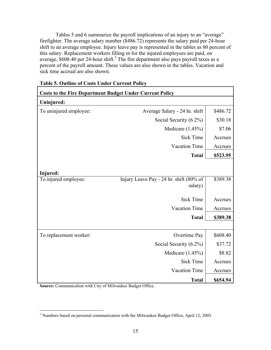Tables 5 and 6 summarize the payroll implications of an injury to an "average" firefighter. The average salary number (\$486.72) represents the salary paid per 24-hour shift to an average employee. Injury leave pay is represented in the tables as 80 percent of this salary. Replacement workers filling in for the injured employees are paid, on average,  $$608.40$  per 24-hour shift.<sup>3</sup> The fire department also pays payroll taxes as a percent of the payroll amount. These values are also shown in the tables. Vacation and sick time accrual are also shown.

٦

| <b>Costs to the Fire Department Budget Under Current Policy</b> |                                         |          |
|-----------------------------------------------------------------|-----------------------------------------|----------|
| Uninjured:                                                      |                                         |          |
| To uninjured employee:                                          | Average Salary - 24 hr. shift           | \$486.72 |
|                                                                 | Social Security (6.2%)                  | \$30.18  |
|                                                                 | Medicare $(1.45\%)$                     | \$7.06   |
|                                                                 | <b>Sick Time</b>                        | Accrues  |
|                                                                 | Vacation Time                           | Accrues  |
|                                                                 | <b>Total</b>                            | \$523.95 |
|                                                                 |                                         |          |
| Injured:                                                        |                                         |          |
| To injured employee:                                            | Injury Leave Pay - 24 hr. shift (80% of | \$389.38 |
|                                                                 | salary)                                 |          |
|                                                                 | <b>Sick Time</b>                        | Accrues  |
|                                                                 | <b>Vacation Time</b>                    | Accrues  |
|                                                                 | <b>Total</b>                            | \$389.38 |
|                                                                 |                                         |          |
| To replacement worker:                                          | Overtime Pay                            | \$608.40 |
|                                                                 | Social Security (6.2%)                  | \$37.72  |
|                                                                 | Medicare $(1.45\%)$                     | \$8.82   |
|                                                                 | <b>Sick Time</b>                        | Accrues  |
|                                                                 | <b>Vacation Time</b>                    | Accrues  |
|                                                                 | <b>Total</b>                            | \$654.94 |

## **Table 5. Outline of Costs Under Current Policy**

**Source:** Communication with City of Milwaukee Budget Office.

<sup>&</sup>lt;sup>3</sup><br>Numbers based on personal communication with the Milwaukee Budget Office, April 12, 2003.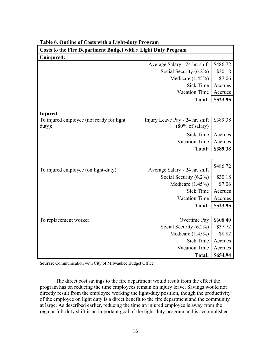| <b>Costs to the Fire Department Budget with a Light Duty Program</b> |                                                               |          |  |  |  |
|----------------------------------------------------------------------|---------------------------------------------------------------|----------|--|--|--|
| Uninjured:                                                           |                                                               |          |  |  |  |
|                                                                      | Average Salary - 24 hr. shift                                 | \$486.72 |  |  |  |
|                                                                      | Social Security (6.2%)                                        | \$30.18  |  |  |  |
|                                                                      | Medicare (1.45%)                                              | \$7.06   |  |  |  |
|                                                                      | <b>Sick Time</b>                                              | Accrues  |  |  |  |
|                                                                      | <b>Vacation Time</b>                                          | Accrues  |  |  |  |
|                                                                      | <b>Total:</b>                                                 | \$523.95 |  |  |  |
| Injured:                                                             |                                                               |          |  |  |  |
| To injured employee (not ready for light<br>duty):                   | Injury Leave Pay - 24 hr. shift<br>$(80\% \text{ of salary})$ | \$389.38 |  |  |  |
|                                                                      | <b>Sick Time</b>                                              | Accrues  |  |  |  |
|                                                                      | <b>Vacation Time</b>                                          | Accrues  |  |  |  |
|                                                                      | <b>Total:</b>                                                 | \$389.38 |  |  |  |
|                                                                      |                                                               |          |  |  |  |
| To injured employee (on light-duty):                                 | Average Salary - 24 hr. shift                                 | \$486.72 |  |  |  |
|                                                                      | Social Security (6.2%)                                        | \$30.18  |  |  |  |
|                                                                      | Medicare $(1.45\%)$                                           | \$7.06   |  |  |  |
|                                                                      | <b>Sick Time</b>                                              | Accrues  |  |  |  |
|                                                                      | <b>Vacation Time</b>                                          | Accrues  |  |  |  |
|                                                                      | <b>Total:</b>                                                 | \$523.95 |  |  |  |
|                                                                      |                                                               |          |  |  |  |
| To replacement worker:                                               | Overtime Pay                                                  | \$608.40 |  |  |  |
|                                                                      | Social Security (6.2%)                                        | \$37.72  |  |  |  |
|                                                                      | Medicare (1.45%)                                              | \$8.82   |  |  |  |
|                                                                      | <b>Sick Time</b>                                              | Accrues  |  |  |  |
|                                                                      | Vacation Time                                                 | Accrues  |  |  |  |
|                                                                      | <b>Total:</b>                                                 | \$654.94 |  |  |  |

#### **Table 6. Outline of Costs with a Light-duty Program**

**Source:** Communication with City of Milwaukee Budget Office.

The direct cost savings to the fire department would result from the effect the program has on reducing the time employees remain on injury leave. Savings would not directly result from the employee working the light-duty position, though the productivity of the employee on light duty is a direct benefit to the fire department and the community at large. As described earlier, reducing the time an injured employee is away from the regular full-duty shift is an important goal of the light-duty program and is accomplished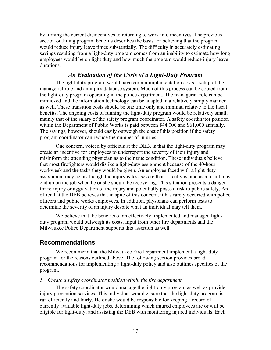by turning the current disincentives to returning to work into incentives. The previous section outlining program benefits describes the basis for believing that the program would reduce injury leave times substantially. The difficulty in accurately estimating savings resulting from a light-duty program comes from an inability to estimate how long employees would be on light duty and how much the program would reduce injury leave durations.

## *An Evaluation of the Costs of a Light-Duty Program*

The light-duty program would have certain implementation costs—setup of the managerial role and an injury database system. Much of this process can be copied from the light-duty program operating in the police department. The managerial role can be mimicked and the information technology can be adapted in a relatively simply manner as well. These transition costs should be one time only and minimal relative to the fiscal benefits. The ongoing costs of running the light-duty program would be relatively small, mainly that of the salary of the safety program coordinator. A safety coordinator position within the Department of Public Works is paid between \$44,000 and \$61,000 annually. The savings, however, should easily outweigh the cost of this position if the safety program coordinator can reduce the number of injuries.

One concern, voiced by officials at the DEB, is that the light-duty program may create an incentive for employees to underreport the severity of their injury and misinform the attending physician as to their true condition. These individuals believe that most firefighters would dislike a light-duty assignment because of the 40-hour workweek and the tasks they would be given. An employee faced with a light-duty assignment may act as though the injury is less severe than it really is, and as a result may end up on the job when he or she should be recovering. This situation presents a danger for re-injury or aggravation of the injury and potentially poses a risk to public safety. An official at the DEB believes that in spite of this concern, it has rarely occurred with police officers and public works employees. In addition, physicians can perform tests to determine the severity of an injury despite what an individual may tell them.

We believe that the benefits of an effectively implemented and managed lightduty program would outweigh its costs. Input from other fire departments and the Milwaukee Police Department supports this assertion as well.

## **Recommendations**

We recommend that the Milwaukee Fire Department implement a light-duty program for the reasons outlined above. The following section provides broad recommendations for implementing a light-duty policy and also outlines specifics of the program.

#### *1. Create a safety coordinator position within the fire department.*

The safety coordinator would manage the light-duty program as well as provide injury prevention services. This individual would ensure that the light-duty program is run efficiently and fairly. He or she would be responsible for keeping a record of currently available light-duty jobs, determining which injured employees are or will be eligible for light-duty, and assisting the DEB with monitoring injured individuals. Each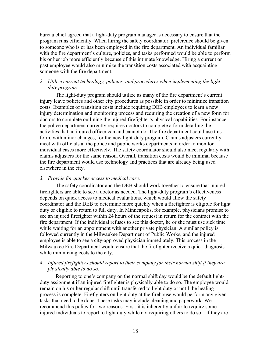bureau chief agreed that a light-duty program manager is necessary to ensure that the program runs efficiently. When hiring the safety coordinator, preference should be given to someone who is or has been employed in the fire department. An individual familiar with the fire department's culture, policies, and tasks performed would be able to perform his or her job more efficiently because of this intimate knowledge. Hiring a current or past employee would also minimize the transition costs associated with acquainting someone with the fire department.

## *2. Utilize current technology, policies, and procedures when implementing the lightduty program.*

The light-duty program should utilize as many of the fire department's current injury leave policies and other city procedures as possible in order to minimize transition costs. Examples of transition costs include requiring DEB employees to learn a new injury determination and monitoring process and requiring the creation of a new form for doctors to complete outlining the injured firefighter's physical capabilities. For instance, the police department currently requires doctors to complete a form detailing the activities that an injured officer can and cannot do. The fire department could use this form, with minor changes, for the new light-duty program. Claims adjusters currently meet with officials at the police and public works departments in order to monitor individual cases more effectively. The safety coordinator should also meet regularly with claims adjusters for the same reason. Overall, transition costs would be minimal because the fire department would use technology and practices that are already being used elsewhere in the city.

#### *3. Provide for quicker access to medical care.*

The safety coordinator and the DEB should work together to ensure that injured firefighters are able to see a doctor as needed. The light-duty program's effectiveness depends on quick access to medical evaluations, which would allow the safety coordinator and the DEB to determine more quickly when a firefighter is eligible for light duty or eligible to return to full duty. In Minneapolis, for example, physicians promise to see an injured firefighter within 24 hours of the request in return for the contract with the fire department. If the individual refuses to see this doctor, he or she must use sick time while waiting for an appointment with another private physician. A similar policy is followed currently in the Milwaukee Department of Public Works, and the injured employee is able to see a city-approved physician immediately. This process in the Milwaukee Fire Department would ensure that the firefighter receive a quick diagnosis while minimizing costs to the city.

#### *4. Injured firefighters should report to their company for their normal shift if they are physically able to do so.*

Reporting to one's company on the normal shift day would be the default lightduty assignment if an injured firefighter is physically able to do so. The employee would remain on his or her regular shift until transferred to light duty or until the healing process is complete. Firefighters on light duty at the firehouse would perform any given tasks that need to be done. These tasks may include cleaning and paperwork. We recommend this policy for two reasons. First, it is inherently unfair to require some injured individuals to report to light duty while not requiring others to do so—if they are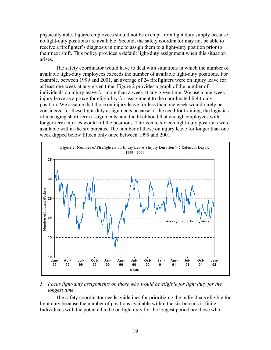physically able. Injured employees should not be exempt from light duty simply because no light-duty positions are available. Second, the safety coordinator may not be able to receive a firefighter's diagnosis in time to assign them to a light-duty position prior to their next shift. This policy provides a default light-duty assignment when this situation arises.

The safety coordinator would have to deal with situations in which the number of available light-duty employees exceeds the number of available light-duty positions. For example, between 1999 and 2001, an average of 24 firefighters were on injury leave for at least one week at any given time. Figure 2 provides a graph of the number of individuals on injury leave for more than a week at any given time. We use a one-week injury leave as a proxy for eligibility for assignment to the coordinated light-duty position. We assume that those on injury leave for less than one week would rarely be considered for these light-duty assignments because of the need for training, the logistics of managing short-term assignments, and the likelihood that enough employees with longer-term injuries would fill the positions. Thirteen to sixteen light-duty positions were available within the six bureaus. The number of those on injury leave for longer than one week dipped below fifteen only once between 1999 and 2001.



#### *5. Focus light-duty assignments on those who would be eligible for light duty for the longest time.*

The safety coordinator needs guidelines for prioritizing the individuals eligible for light duty because the number of positions available within the six bureaus is finite. Individuals with the potential to be on light duty for the longest period are those who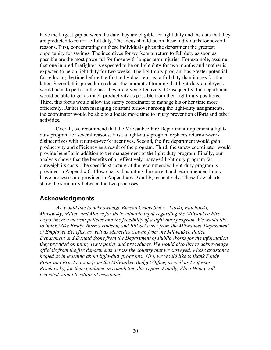have the largest gap between the date they are eligible for light duty and the date that they are predicted to return to full duty. The focus should be on these individuals for several reasons. First, concentrating on these individuals gives the department the greatest opportunity for savings. The incentives for workers to return to full duty as soon as possible are the most powerful for those with longer-term injuries. For example, assume that one injured firefighter is expected to be on light duty for two months and another is expected to be on light duty for two weeks. The light-duty program has greater potential for reducing the time before the first individual returns to full duty than it does for the latter. Second, this procedure reduces the amount of training that light-duty employees would need to perform the task they are given effectively. Consequently, the department would be able to get as much productivity as possible from their light-duty positions. Third, this focus would allow the safety coordinator to manage his or her time more efficiently. Rather than managing constant turnover among the light-duty assignments, the coordinator would be able to allocate more time to injury prevention efforts and other activities.

Overall, we recommend that the Milwaukee Fire Department implement a lightduty program for several reasons. First, a light-duty program replaces return-to-work disincentives with return-to-work incentives. Second, the fire department would gain productivity and efficiency as a result of the program. Third, the safety coordinator would provide benefits in addition to the management of the light-duty program. Finally, our analysis shows that the benefits of an effectively managed light-duty program far outweigh its costs. The specific structure of the recommended light-duty program is provided in Appendix C. Flow charts illustrating the current and recommended injury leave processes are provided in Appendixes D and E, respectively. These flow charts show the similarity between the two processes.

## **Acknowledgments**

*We would like to acknowledge Bureau Chiefs Smerz, Lipski, Putchinski, Murawsky, Miller, and Moore for their valuable input regarding the Milwaukee Fire Department's current policies and the feasibility of a light-duty program. We would like*  to thank Mike Brady, Burma Hudson, and Bill Scheurer from the Milwaukee Department *of Employee Benefits, as well as Mercedes Cowan from the Milwaukee Police Department and Donald Stone from the Department of Public Works for the information they provided on injury leave policy and procedures. We would also like to acknowledge officials from the fire departments across the country that we surveyed, whose assistance helped us in learning about light-duty programs. Also, we would like to thank Sandy Rotar and Eric Pearson from the Milwaukee Budget Office, as well as Professor Reschovsky, for their guidance in completing this report. Finally, Alice Honeywell provided valuable editorial assistance.*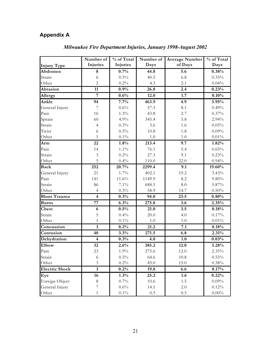## **Appendix A**

|                       | Number of               | % of Total | Number of | <b>Average Number</b> | % of Total |
|-----------------------|-------------------------|------------|-----------|-----------------------|------------|
| <b>Injury Type</b>    | Injuries                | Injuries   | Days      | of Days               | Days       |
| Abdomen               | 8                       | 0.7%       | 44.8      | 5.6                   | 0.38%      |
| Strain                | 6                       | 0.5%       | 40.5      | 6.8                   | 0.35%      |
| Other                 | $\overline{2}$          | $0.2\%$    | 4.3       | 2.1                   | 0.04%      |
| Abrasion              | 11                      | 0.9%       | 26.8      | 2.4                   | 0.23%      |
| Allergy               | $\overline{7}$          | 0.6%       | 12.0      | 1.7                   | 0.10%      |
| Ankle                 | 94                      | 7.7%       | 463.9     | 4.9                   | 3.95%      |
| General Injury        | $\overline{7}$          | 0.6%       | 57.3      | 8.1                   | 0.49%      |
| Pain                  | 16                      | 1.3%       | 43.8      | 2.7                   | 0.37%      |
| Sprain                | 60                      | 4.9%       | 345.4     | 5.8                   | 2.94%      |
| Strain                | $\overline{4}$          | 0.3%       | 5.6       | 1.6                   | 0.05%      |
| Twist                 | 6                       | $0.5\%$    | 10.8      | 1.8                   | 0.09%      |
| Other                 | $\mathbf{1}$            | $0.1\%$    | $1.0\,$   | $1.0\,$               | 0.01%      |
| Arm                   | 22                      | 1.8%       | 213.4     | 9.7                   | 1.82%      |
| Pain                  | 14                      | $1.1\%$    | 76.1      | 5.4                   | 0.65%      |
| Strain                | $\mathfrak{Z}$          | 0.2%       | 27.3      | 9.1                   | 0.23%      |
| Other                 | 5                       | 0.4%       | 110.0     | 22.0                  | 0.94%      |
| <b>Back</b>           | 252                     | 20.7%      | 2299.4    | 9.1                   | 19.60%     |
| General Injury        | 21                      | 1.7%       | 402.1     | 19.2                  | 3.43%      |
| Pain                  | 141                     | 11.6%      | 1149.9    | 8.2                   | 9.80%      |
| Strain                | 86                      | $7.1\%$    | 688.5     | $\ \, 8.0$            | 5.87%      |
| Other                 | $\overline{4}$          | $0.3\%$    | 58.9      | 14.7                  | 0.50%      |
| <b>Blunt Trauma</b>   | $\overline{\mathbf{4}}$ | 0.3%       | 94.0      | 23.5                  | 0.80%      |
| <b>Burns</b>          | 77                      | 6.3%       | 275.8     | 3.6                   | 2.35%      |
| Chest                 | 6                       | 0.5%       | 21.0      | 3.5                   | 0.18%      |
| Strain                | 5                       | 0.4%       | 20.0      | 4.0                   | 0.17%      |
| Other                 | $\mathbf{1}$            | $0.1\%$    | $1.0\,$   | $1.0\,$               | $0.01\%$   |
| Concussion            | $\mathbf{3}$            | 0.2%       | 21.2      | 7.1                   | 0.18%      |
| Contusion             | 40                      | 3.3%       | 271.5     | 6.8                   | 2.31%      |
| Dehydration           | $\overline{\mathbf{4}}$ | 0.3%       | 4.0       | 1.0                   | 0.03%      |
| Elbow                 | 32                      | 2.6%       | 385.2     | 12.0                  | 3.28%      |
| Pain                  | 23                      | 1.9%       | 275.6     | 12.0                  | 2.35%      |
| Strain                | 6                       | 0.5%       | 64.6      | 10.8                  | 0.55%      |
| Other                 | $\mathfrak{Z}$          | 0.2%       | 45.0      | 15.0                  | $0.38\%$   |
| <b>Electric Shock</b> | $\mathbf{3}$            | 0.2%       | 19.8      | 6.6                   | 0.17%      |
| Eye                   | 16                      | 1.3%       | 25.2      | 1.6                   | 0.22%      |
| Foreign Object        | 8                       | 0.7%       | 10.6      | $1.5\,$               | 0.09%      |
| General Injury        | $\sqrt{ }$              | 0.6%       | 14.1      | 2.0                   | 0.12%      |
| Other                 | $\mathbf{1}$            | $0.1\%$    | 0.5       | 0.5                   | $0.00\%$   |

## *Milwaukee Fire Department Injuries, January 1998-August 2002*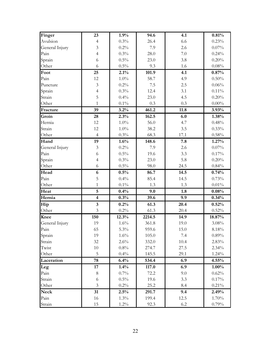| Finger                 | 23                      | 1.9%    | 94.6   | 4.1     | 0.81%    |
|------------------------|-------------------------|---------|--------|---------|----------|
| Avulsion               | $\overline{4}$          | 0.3%    | 26.4   | 6.6     | 0.23%    |
| General Injury         | $\mathfrak{Z}$          | 0.2%    | 7.9    | 2.6     | 0.07%    |
| Pain                   | $\overline{4}$          | 0.3%    | 28.0   | $7.0\,$ | 0.24%    |
| Sprain                 | 6                       | $0.5\%$ | 23.0   | 3.8     | 0.20%    |
| Other                  | 6                       | $0.5\%$ | 9.3    | 1.6     | $0.08\%$ |
| Foot                   | 25                      | 2.1%    | 101.9  | 4.1     | 0.87%    |
| Pain                   | 12                      | $1.0\%$ | 58.7   | 4.9     | 0.50%    |
| Puncture               | $\mathfrak{Z}$          | 0.2%    | 7.5    | 2.5     | $0.06\%$ |
| Sprain                 | $\overline{4}$          | 0.3%    | 12.4   | 3.1     | 0.11%    |
| Strain                 | 5                       | 0.4%    | 23.0   | 4.5     | 0.20%    |
| Other                  | 1                       | $0.1\%$ | 0.3    | 0.3     | $0.00\%$ |
| Fracture               | 39                      | 3.2%    | 461.2  | 11.8    | 3.93%    |
| Groin                  | 28                      | 2.3%    | 162.5  | 6.0     | 1.38%    |
| Hernia                 | 12                      | $1.0\%$ | 56.0   | 4.7     | 0.48%    |
| Strain                 | 12                      | $1.0\%$ | 38.2   | 3.5     | 0.33%    |
| Other                  | $\overline{4}$          | 0.3%    | 68.3   | 17.1    | $0.58\%$ |
| Hand                   | 19                      | 1.6%    | 148.6  | 7.8     | 1.27%    |
|                        | $\mathfrak{Z}$          | 0.2%    | 7.9    | 2.6     | $0.07\%$ |
| General Injury<br>Pain | 6                       | 0.5%    | 19.6   | 3.3     | 0.17%    |
|                        | $\overline{4}$          | 0.3%    | 23.0   | 5.8     | 0.20%    |
| Sprain                 |                         |         | 98.0   |         |          |
| Other                  | 6                       | $0.5\%$ |        | 24.5    | 0.84%    |
| Head                   | 6                       | 0.5%    | 86.7   | 14.5    | 0.74%    |
| Pain                   | 5                       | 0.4%    | 85.4   | 14.5    | 0.73%    |
| Other                  | $\mathbf{1}$            | $0.1\%$ | 1.3    | 1.3     | $0.01\%$ |
| Heat                   | $\overline{5}$          | 0.4%    | 9.0    | 1.8     | 0.08%    |
| Hernia                 | $\overline{\mathbf{4}}$ | 0.3%    | 39.6   | 9.9     | 0.34%    |
| Hip                    | $\overline{\mathbf{3}}$ | 0.2%    | 61.3   | 20.4    | 0.52%    |
| Other                  | 3                       | $0.2\%$ | 61.3   | 20.4    | 0.52%    |
| Knee                   | 150                     | 12.3%   | 2214.5 | 14.9    | 18.87%   |
| General Injury         | 19                      | 1.6%    | 361.8  | 19.0    | 3.08%    |
| Pain                   | 65                      | $5.3\%$ | 959.6  | 15.0    | $8.18\%$ |
| Sprain                 | 19                      | $1.6\%$ | 105.0  | 7.4     | 0.89%    |
| Strain                 | 32                      | 2.6%    | 332.0  | 10.4    | 2.83%    |
| Twist                  | $10\,$                  | 0.8%    | 274.7  | 27.5    | 2.34%    |
| Other                  | 5                       | $0.4\%$ | 145.5  | 29.1    | 1.24%    |
| Laceration             | 78                      | 6.4%    | 534.4  | 6.9     | 4.55%    |
| Leg                    | 17                      | 1.4%    | 117.0  | 6.9     | $1.00\%$ |
| Pain                   | $8\,$                   | 0.7%    | 72.2   | 9.0     | 0.62%    |
| Strain                 | 6                       | $0.5\%$ | 19.6   | 3.3     | 0.17%    |
| Other                  | $\mathfrak{Z}$          | $0.2\%$ | 25.2   | 8.4     | 0.21%    |
| <b>Neck</b>            | 31                      | 2.5%    | 291.7  | 9.4     | 2.49%    |
| Pain                   | 16                      | $1.3\%$ | 199.4  | 12.5    | 1.70%    |
| Strain                 | 15                      | $1.2\%$ | 92.3   | 6.2     | 0.79%    |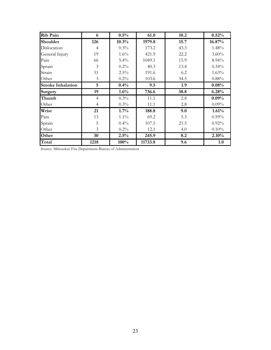| <b>Rib Pain</b>         | 6              | 0.5%    | 61.0    | 10.2 | 0.52%    |
|-------------------------|----------------|---------|---------|------|----------|
| Shoulder                | 126            | 10.3%   | 1979.8  | 15.7 | 16.87%   |
| Dislocation             | $\overline{4}$ | 0.3%    | 173.2   | 43.3 | 1.48%    |
| General Injury          | 19             | 1.6%    | 421.9   | 22.2 | $3.60\%$ |
| Pain                    | 66             | 5.4%    | 1049.1  | 15.9 | 8.94%    |
| Sprain                  | 3              | $0.2\%$ | 40.3    | 13.4 | 0.34%    |
| Strain                  | 31             | $2.5\%$ | 191.6   | 6.2  | 1.63%    |
| Other                   | 3              | $0.2\%$ | 103.6   | 34.5 | 0.88%    |
| <b>Smoke Inhalation</b> | 5              | 0.4%    | 9.5     | 1.9  | 0.08%    |
| <b>Surgery</b>          | 19             | 1.6%    | 736.6   | 38.8 | 6.28%    |
| Thumb                   | $\overline{4}$ | 0.3%    | 11.1    | 2.8  | 0.09%    |
| Other                   | $\overline{4}$ | $0.3\%$ | 11.1    | 2.8  | 0.09%    |
| Wrist                   | 21             | 1.7%    | 188.8   | 9.0  | 1.61%    |
| Pain                    | 13             | $1.1\%$ | 69.2    | 5.3  | 0.59%    |
| Sprain                  | 5              | 0.4%    | 107.5   | 21.5 | 0.92%    |
| Other                   | 3              | $0.2\%$ | 12.1    | 4.0  | 0.10%    |
| Other                   | 30             | 2.5%    | 245.9   | 8.2  | 2.10%    |
| Total                   | 1218           | 100%    | 11733.8 | 9.6  | 1.0      |

Source: Milwaukee Fire Department-Bureau of Administration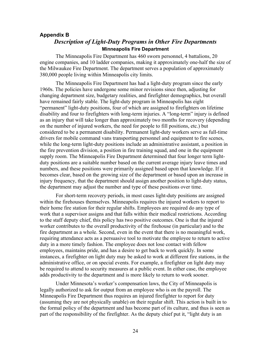#### **Appendix B**

## *Description of Light-Duty Programs in Other Fire Departments* **Minneapolis Fire Department**

The Minneapolis Fire Department has 460 sworn personnel, 4 battalions, 20 engine companies, and 10 ladder companies, making it approximately one-half the size of the Milwaukee Fire Department. The department serves a population of approximately 380,000 people living within Minneapolis city limits.

The Minneapolis Fire Department has had a light-duty program since the early 1960s. The policies have undergone some minor revisions since then, adjusting for changing department size, budgetary realities, and firefighter demographics, but overall have remained fairly stable. The light-duty program in Minneapolis has eight "permanent" light-duty positions, four of which are assigned to firefighters on lifetime disability and four to firefighters with long-term injuries. A "long-term" injury is defined as an injury that will take longer than approximately two months for recovery (depending on the number of injured workers, the need for people to fill positions, etc.) but considered to be a permanent disability. Permanent light-duty workers serve as full-time drivers for mobile command vans transporting personnel and equipment to fire scenes, while the long-term light-duty positions include an administrative assistant, a position in the fire prevention division, a position in fire training squad, and one in the equipment supply room. The Minneapolis Fire Department determined that four longer term lightduty positions are a suitable number based on the current average injury leave times and numbers, and these positions were primarily assigned based upon that knowledge. If it becomes clear, based on the growing size of the department or based upon an increase in injury frequency, that the department should assign another position to light-duty status, the department may adjust the number and type of these positions over time.

For short-term recovery periods, in most cases light-duty positions are assigned within the firehouses themselves. Minneapolis requires the injured workers to report to their home fire station for their regular shifts. Employees are required do any type of work that a supervisor assigns and that falls within their medical restrictions. According to the staff deputy chief, this policy has two positive outcomes. One is that the injured worker contributes to the overall productivity of the firehouse (in particular) and to the fire department as a whole. Second, even in the event that there is no meaningful work, requiring attendance acts as a persuasive tool to motivate the employee to return to active duty in a more timely fashion. The employee does not lose contact with fellow employees, maintains pride, and has a desire to get back to work quickly. In some instances, a firefighter on light duty may be asked to work at different fire stations, in the administrative office, or on special events. For example, a firefighter on light duty may be required to attend to security measures at a public event. In either case, the employee adds productivity to the department and is more likely to return to work sooner.

Under Minnesota's worker's compensation laws, the City of Minneapolis is legally authorized to ask for output from an employee who is on the payroll. The Minneapolis Fire Department thus requires an injured firefighter to report for duty (assuming they are not physically unable) on their regular shift. This action is built in to the formal policy of the department and has become part of its culture, and thus is seen as part of the responsibility of the firefighter. As the deputy chief put it, "light duty is an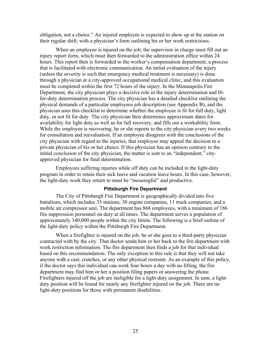obligation, not a choice." An injured employee is expected to show up at the station on their regular shift, with a physician's form outlining his or her work restrictions.

When an employee is injured on the job, the supervisor in charge must fill out an injury report form, which must then forwarded to the administration office within 24 hours. This report then is forwarded to the worker's compensation department, a process that is facilitated with electronic communication. An initial evaluation of the injury (unless the severity is such that emergency medical treatment is necessary) is done through a physician at a city-approved occupational medical clinic, and this evaluation must be completed within the first 72 hours of the injury. In the Minneapolis Fire Department, the city physician plays a decisive role in the injury determination and fitfor-duty determination process. The city physician has a detailed checklist outlining the physical demands of a particular employees job description (see Appendix B), and the physician uses this checklist to determine whether the employee is fit for full duty, light duty, or not fit for duty. The city physician then determines approximate dates for availability for light duty as well as for full recovery, and fills out a workability form. While the employee is recovering, he or she reports to the city physician every two weeks for consultation and reevaluation. If an employee disagrees with the conclusions of the city physician with regard to the injuries, that employee may appeal the decision to a private physician of his or her choice. If this physician has an opinion contrary to the initial conclusion of the city physician, the matter is sent to an "independent," cityapproved physician for final determination.

Employees suffering injuries while off duty can be included in the light-duty program in order to retain their sick leave and vacation leave hours. In this case, however, the light-duty work they return to must be "meaningful" and productive.

#### **Pittsburgh Fire Department**

The City of Pittsburgh Fire Department is geographically divided into five battalions, which includes 35 stations, 30 engine companies, 11 truck companies, and a mobile air compressor unit. The department has 868 employees, with a minimum of 186 fire suppression personnel on duty at all times. The department serves a population of approximately 340,000 people within the city limits. The following is a brief outline of the light-duty policy within the Pittsburgh Fire Department.

When a firefighter is injured on the job, he or she goes to a third-party physician contracted with by the city. That doctor sends him or her back to the fire department with work restriction information. The fire department then finds a job for that individual based on this recommendation. The only exception to this rule is that they will not take anyone with a cast, crutches, or any other physical restraint. As an example of this policy, if the doctor says this individual can work four hours a day with no lifting, the fire department may find him or her a position filing papers or answering the phone. Firefighters injured off the job are ineligible for a light-duty assignment. In sum, a lightduty position will be found for nearly any firefighter injured on the job. There are no light-duty positions for those with permanent disabilities.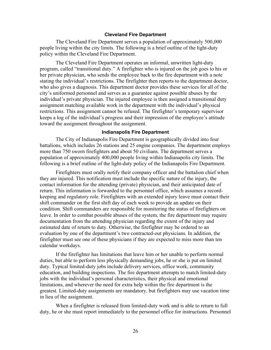#### **Cleveland Fire Department**

The Cleveland Fire Department serves a population of approximately 500,000 people living within the city limits. The following is a brief outline of the light-duty policy within the Cleveland Fire Department.

The Cleveland Fire Department operates an informal, unwritten light-duty program, called "transitional duty." A firefighter who is injured on the job goes to his or her private physician, who sends the employee back to the fire department with a note stating the individual's restrictions. The firefighter then reports to the department doctor, who also gives a diagnosis. This department doctor provides these services for all of the city's uniformed personnel and serves as a guarantee against possible abuses by the individual's private physician. The injured employee is then assigned a transitional duty assignment matching available work in the department with the individual's physical restrictions. This assignment cannot be refused. The firefighter's temporary supervisor keeps a log of the individual's progress and their impression of the employee's attitude toward the assignment throughout the assignment.

#### **Indianapolis Fire Department**

The City of Indianapolis Fire Department is geographically divided into four battalions, which includes 26 stations and 25 engine companies. The department employs more than 750 sworn firefighters and about 50 civilians. The department serves a population of approximately 400,000 people living within Indianapolis city limits. The following is a brief outline of the light-duty policy of the Indianapolis Fire Department.

Firefighters must orally notify their company officer and the battalion chief when they are injured. This notification must include the specific nature of the injury, the contact information for the attending (private) physician, and their anticipated date of return. This information is forwarded to the personnel office, which assumes a recordkeeping and regulatory role. Firefighters with an extended injury leave must contact their shift commander on the first shift day of each week to provide an update on their condition. Shift commanders are responsible for monitoring the status of firefighters on leave. In order to combat possible abuses of the system, the fire department may require documentation from the attending physician regarding the extent of the injury and estimated date of return to duty. Otherwise, the firefighter may be ordered to an evaluation by one of the department's two contracted-out physicians. In addition, the firefighter must see one of these physicians if they are expected to miss more than ten calendar workdays.

If the firefighter has limitations that leave him or her unable to perform normal duties, but able to perform less physically demanding jobs, he or she is put on limited duty. Typical limited-duty jobs include delivery services, office work, community education, and building inspections. The fire department attempts to match limited-duty jobs with the individual's personal characteristics, their physical and emotional limitations, and wherever the need for extra help within the fire department is the greatest. Limited-duty assignments are mandatory, but firefighters may use vacation time in lieu of the assignment.

When a firefighter is released from limited-duty work and is able to return to full duty, he or she must report immediately to the personnel office for instructions. Personnel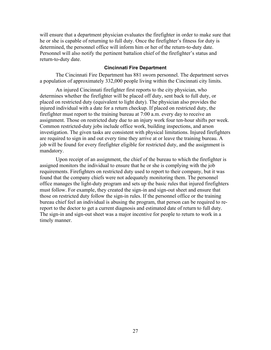will ensure that a department physician evaluates the firefighter in order to make sure that he or she is capable of returning to full duty. Once the firefighter's fitness for duty is determined, the personnel office will inform him or her of the return-to-duty date. Personnel will also notify the pertinent battalion chief of the firefighter's status and return-to-duty date.

#### **Cincinnati Fire Department**

The Cincinnati Fire Department has 881 sworn personnel. The department serves a population of approximately 332,000 people living within the Cincinnati city limits.

An injured Cincinnati firefighter first reports to the city physician, who determines whether the firefighter will be placed off duty, sent back to full duty, or placed on restricted duty (equivalent to light duty). The physician also provides the injured individual with a date for a return checkup. If placed on restricted duty, the firefighter must report to the training bureau at 7:00 a.m. every day to receive an assignment. Those on restricted duty due to an injury work four ten-hour shifts per week. Common restricted-duty jobs include office work, building inspections, and arson investigation. The given tasks are consistent with physical limitations. Injured firefighters are required to sign in and out every time they arrive at or leave the training bureau. A job will be found for every firefighter eligible for restricted duty, and the assignment is mandatory.

Upon receipt of an assignment, the chief of the bureau to which the firefighter is assigned monitors the individual to ensure that he or she is complying with the job requirements. Firefighters on restricted duty used to report to their company, but it was found that the company chiefs were not adequately monitoring them. The personnel office manages the light-duty program and sets up the basic rules that injured firefighters must follow. For example, they created the sign-in and sign-out sheet and ensure that those on restricted duty follow the sign-in rules. If the personnel office or the training bureau chief feel an individual is abusing the program, that person can be required to rereport to the doctor to get a current diagnosis and estimated date of return to full duty. The sign-in and sign-out sheet was a major incentive for people to return to work in a timely manner.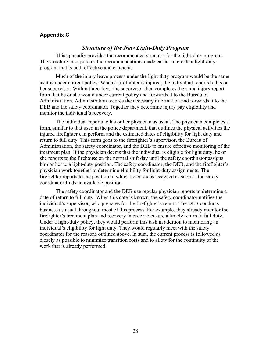#### **Appendix C**

## *Structure of the New Light-Duty Program*

This appendix provides the recommended structure for the light-duty program. The structure incorporates the recommendations made earlier to create a light-duty program that is both effective and efficient.

Much of the injury leave process under the light-duty program would be the same as it is under current policy. When a firefighter is injured, the individual reports to his or her supervisor. Within three days, the supervisor then completes the same injury report form that he or she would under current policy and forwards it to the Bureau of Administration. Administration records the necessary information and forwards it to the DEB and the safety coordinator. Together they determine injury pay eligibility and monitor the individual's recovery.

The individual reports to his or her physician as usual. The physician completes a form, similar to that used in the police department, that outlines the physical activities the injured firefighter can perform and the estimated dates of eligibility for light duty and return to full duty. This form goes to the firefighter's supervisor, the Bureau of Administration, the safety coordinator, and the DEB to ensure effective monitoring of the treatment plan. If the physician deems that the individual is eligible for light duty, he or she reports to the firehouse on the normal shift day until the safety coordinator assigns him or her to a light-duty position. The safety coordinator, the DEB, and the firefighter's physician work together to determine eligibility for light-duty assignments. The firefighter reports to the position to which he or she is assigned as soon as the safety coordinator finds an available position.

The safety coordinator and the DEB use regular physician reports to determine a date of return to full duty. When this date is known, the safety coordinator notifies the individual's supervisor, who prepares for the firefighter's return. The DEB conducts business as usual throughout most of this process. For example, they already monitor the firefighter's treatment plan and recovery in order to ensure a timely return to full duty. Under a light-duty policy, they would perform this task in addition to monitoring an individual's eligibility for light duty. They would regularly meet with the safety coordinator for the reasons outlined above. In sum, the current process is followed as closely as possible to minimize transition costs and to allow for the continuity of the work that is already performed.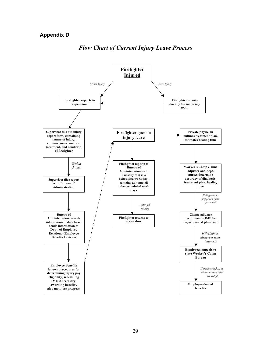## **Appendix D**



## *Flow Chart of Current Injury Leave Process*